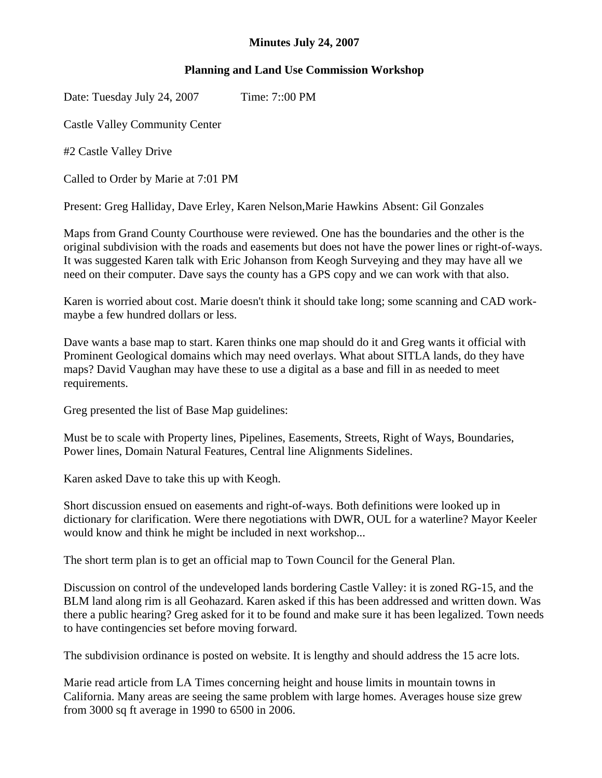## **Minutes July 24, 2007**

## **Planning and Land Use Commission Workshop**

Date: Tuesday July 24, 2007 Time: 7::00 PM

Castle Valley Community Center

#2 Castle Valley Drive

Called to Order by Marie at 7:01 PM

Present: Greg Halliday, Dave Erley, Karen Nelson,Marie Hawkins Absent: Gil Gonzales

Maps from Grand County Courthouse were reviewed. One has the boundaries and the other is the original subdivision with the roads and easements but does not have the power lines or right-of-ways. It was suggested Karen talk with Eric Johanson from Keogh Surveying and they may have all we need on their computer. Dave says the county has a GPS copy and we can work with that also.

Karen is worried about cost. Marie doesn't think it should take long; some scanning and CAD workmaybe a few hundred dollars or less.

Dave wants a base map to start. Karen thinks one map should do it and Greg wants it official with Prominent Geological domains which may need overlays. What about SITLA lands, do they have maps? David Vaughan may have these to use a digital as a base and fill in as needed to meet requirements.

Greg presented the list of Base Map guidelines:

Must be to scale with Property lines, Pipelines, Easements, Streets, Right of Ways, Boundaries, Power lines, Domain Natural Features, Central line Alignments Sidelines.

Karen asked Dave to take this up with Keogh.

Short discussion ensued on easements and right-of-ways. Both definitions were looked up in dictionary for clarification. Were there negotiations with DWR, OUL for a waterline? Mayor Keeler would know and think he might be included in next workshop...

The short term plan is to get an official map to Town Council for the General Plan.

Discussion on control of the undeveloped lands bordering Castle Valley: it is zoned RG-15, and the BLM land along rim is all Geohazard. Karen asked if this has been addressed and written down. Was there a public hearing? Greg asked for it to be found and make sure it has been legalized. Town needs to have contingencies set before moving forward.

The subdivision ordinance is posted on website. It is lengthy and should address the 15 acre lots.

Marie read article from LA Times concerning height and house limits in mountain towns in California. Many areas are seeing the same problem with large homes. Averages house size grew from 3000 sq ft average in 1990 to 6500 in 2006.